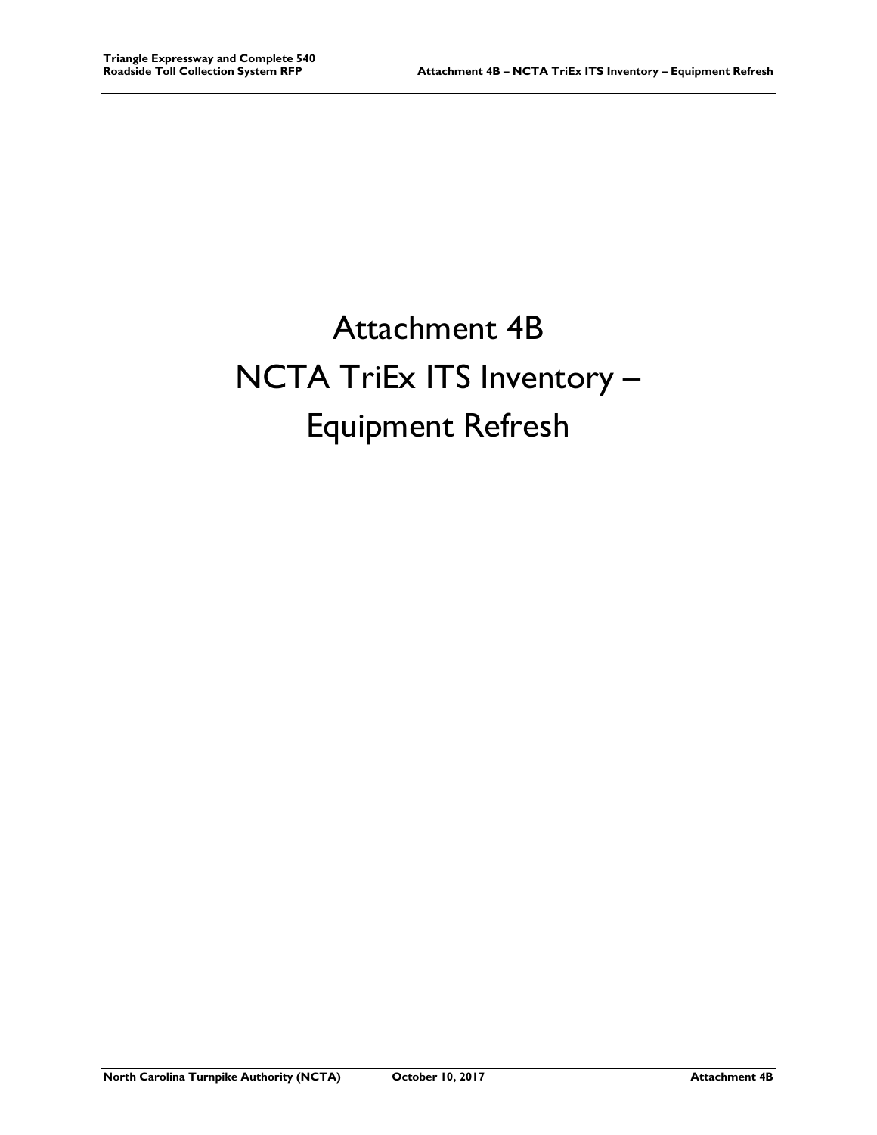## Attachment 4B NCTA TriEx ITS Inventory – Equipment Refresh